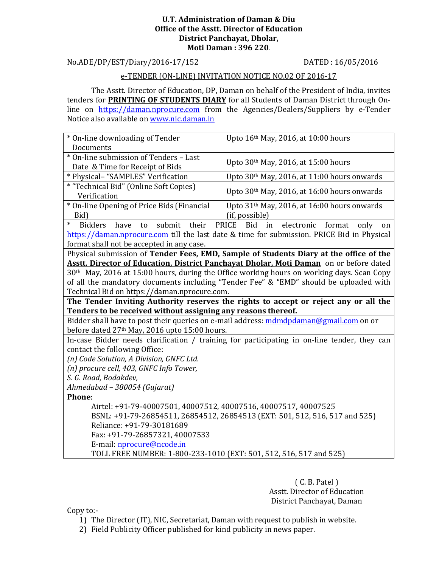#### **U.T. Administration of Daman & Diu Office of the Asstt. Director of Education District Panchayat, Dholar, Moti Daman : 396 220**.

No.ADE/DP/EST/Diary/2016-17/152 DATED : 16/05/2016

#### e-TENDER (ON-LINE) INVITATION NOTICE NO.02 OF 2016-17

 The Asstt. Director of Education, DP, Daman on behalf of the President of India, invites tenders for **PRINTING OF STUDENTS DIARY** for all Students of Daman District through Online on https://daman.nprocure.com from the Agencies/Dealers/Suppliers by e-Tender Notice also available on www.nic.daman.in

| * On-line downloading of Tender                                                                       | Upto 16th May, 2016, at 10:00 hours                                                         |  |
|-------------------------------------------------------------------------------------------------------|---------------------------------------------------------------------------------------------|--|
| Documents<br>* On-line submission of Tenders - Last                                                   |                                                                                             |  |
|                                                                                                       | Upto 30th May, 2016, at 15:00 hours                                                         |  |
| Date & Time for Receipt of Bids                                                                       |                                                                                             |  |
| * Physical- "SAMPLES" Verification                                                                    | Upto 30th May, 2016, at 11:00 hours onwards                                                 |  |
| * "Technical Bid" (Online Soft Copies)<br>Verification                                                | Upto 30 <sup>th</sup> May, 2016, at 16:00 hours onwards                                     |  |
| * On-line Opening of Price Bids (Financial                                                            | Upto 31 <sup>th</sup> May, 2016, at 16:00 hours onwards                                     |  |
| Bid)                                                                                                  | (if, possible)                                                                              |  |
| $\ast$<br>submit<br>their<br><b>Bidders</b><br>have<br>to                                             | <b>PRICE</b><br><b>Bid</b><br>electronic format<br>only<br>in<br>on                         |  |
|                                                                                                       | https://daman.nprocure.com till the last date & time for submission. PRICE Bid in Physical  |  |
| format shall not be accepted in any case.                                                             |                                                                                             |  |
|                                                                                                       | Physical submission of Tender Fees, EMD, Sample of Students Diary at the office of the      |  |
| Asstt. Director of Education, District Panchayat Dholar, Moti Daman on or before dated                |                                                                                             |  |
| 30 <sup>th</sup> May, 2016 at 15:00 hours, during the Office working hours on working days. Scan Copy |                                                                                             |  |
|                                                                                                       | of all the mandatory documents including "Tender Fee" & "EMD" should be uploaded with       |  |
| Technical Bid on https://daman.nprocure.com.                                                          |                                                                                             |  |
| The Tender Inviting Authority reserves the rights to accept or reject any or all the                  |                                                                                             |  |
|                                                                                                       |                                                                                             |  |
| Tenders to be received without assigning any reasons thereof.                                         |                                                                                             |  |
|                                                                                                       | Bidder shall have to post their queries on e-mail address: mdmdpdaman@gmail.com on or       |  |
| before dated 27 <sup>th</sup> May, 2016 upto 15:00 hours.                                             |                                                                                             |  |
|                                                                                                       | In-case Bidder needs clarification / training for participating in on-line tender, they can |  |
| contact the following Office:                                                                         |                                                                                             |  |
| (n) Code Solution, A Division, GNFC Ltd.                                                              |                                                                                             |  |
| (n) procure cell, 403, GNFC Info Tower,                                                               |                                                                                             |  |
| S. G. Road, Bodakdev,                                                                                 |                                                                                             |  |
| Ahmedabad - 380054 (Gujarat)                                                                          |                                                                                             |  |
| Phone:                                                                                                |                                                                                             |  |
| Airtel: +91-79-40007501, 40007512, 40007516, 40007517, 40007525                                       |                                                                                             |  |
|                                                                                                       | BSNL: +91-79-26854511, 26854512, 26854513 (EXT: 501, 512, 516, 517 and 525)                 |  |
| Reliance: +91-79-30181689                                                                             |                                                                                             |  |
| Fax: +91-79-26857321, 40007533                                                                        |                                                                                             |  |
| E-mail: nprocure@ncode.in<br>TOLL FREE NUMBER: 1-800-233-1010 (EXT: 501, 512, 516, 517 and 525)       |                                                                                             |  |

( C. B. Patel ) Asstt. Director of Education District Panchayat, Daman

Copy to:-

1) The Director (IT), NIC, Secretariat, Daman with request to publish in website.

2) Field Publicity Officer published for kind publicity in news paper.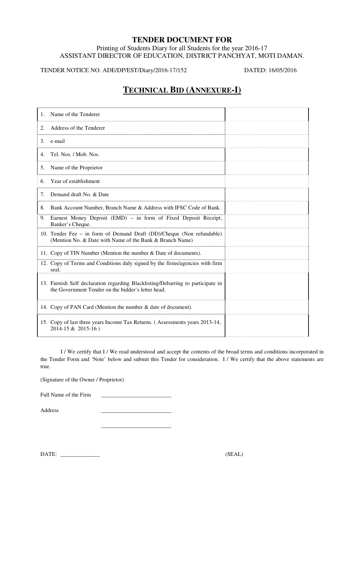## **TENDER DOCUMENT FOR**

Printing of Students Diary for all Students for the year 2016-17 ASSISTANT DIRECTOR OF EDUCATION, DISTRICT PANCHYAT, MOTI DAMAN.

TENDER NOTICE NO. ADE/DP/EST/Diary/2016-17/152 DATED: 16/05/2016

# **TECHNICAL BID (ANNEXURE-I)**

I / We certify that I / We read understood and accept the contents of the broad terms and conditions incorporated in the Tender Form and 'Note' below and submit this Tender for consideration. I / We certify that the above statements are true.

(Signature of the Owner / Proprietor)

 $\frac{1}{\sqrt{2}}$  ,  $\frac{1}{\sqrt{2}}$  ,  $\frac{1}{\sqrt{2}}$  ,  $\frac{1}{\sqrt{2}}$  ,  $\frac{1}{\sqrt{2}}$  ,  $\frac{1}{\sqrt{2}}$  ,  $\frac{1}{\sqrt{2}}$  ,  $\frac{1}{\sqrt{2}}$  ,  $\frac{1}{\sqrt{2}}$  ,  $\frac{1}{\sqrt{2}}$  ,  $\frac{1}{\sqrt{2}}$  ,  $\frac{1}{\sqrt{2}}$  ,  $\frac{1}{\sqrt{2}}$  ,  $\frac{1}{\sqrt{2}}$  ,  $\frac{1}{\sqrt{2}}$ 

Full Name of the Firm \_\_\_\_\_\_\_\_\_\_\_\_\_\_\_\_\_\_\_\_\_\_\_\_\_

Address \_\_\_\_\_\_\_\_\_\_\_\_\_\_\_\_\_\_\_\_\_\_\_\_\_

DATE: \_\_\_\_\_\_\_\_\_\_\_\_\_\_ (SEAL)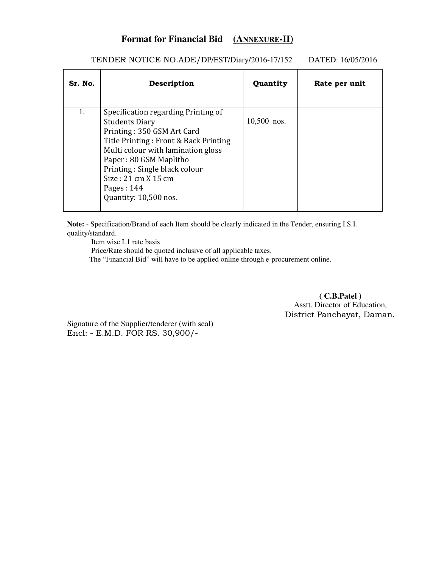# **Format for Financial Bid (ANNEXURE-II)**

| Sr. No. | Description                                                                                                                                                                                                                                                                                          | Quantity    | Rate per unit |
|---------|------------------------------------------------------------------------------------------------------------------------------------------------------------------------------------------------------------------------------------------------------------------------------------------------------|-------------|---------------|
| 1.      | Specification regarding Printing of<br><b>Students Diary</b><br>Printing: 350 GSM Art Card<br>Title Printing: Front & Back Printing<br>Multi colour with lamination gloss<br>Paper: 80 GSM Maplitho<br>Printing: Single black colour<br>Size: 21 cm X 15 cm<br>Pages: $144$<br>Quantity: 10,500 nos. | 10,500 nos. |               |

### TENDER NOTICE NO.ADE/DP/EST/Diary/2016-17/152 DATED: 16/05/2016

**Note:** - Specification/Brand of each Item should be clearly indicated in the Tender, ensuring I.S.I. quality/standard.

Item wise L1 rate basis

Price/Rate should be quoted inclusive of all applicable taxes.

The "Financial Bid" will have to be applied online through e-procurement online.

**( C.B.Patel )**  Asstt. Director of Education, District Panchayat, Daman.

Signature of the Supplier/tenderer (with seal) Encl: - E.M.D. FOR RS. 30,900/-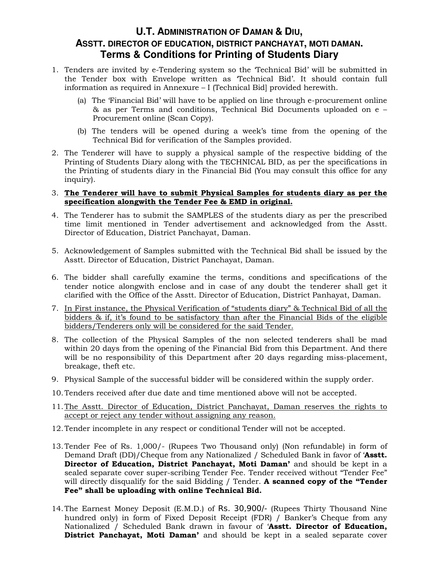# **U.T. ADMINISTRATION OF DAMAN & DIU, ASSTT. DIRECTOR OF EDUCATION, DISTRICT PANCHAYAT, MOTI DAMAN. Terms & Conditions for Printing of Students Diary**

- 1. Tenders are invited by e-Tendering system so the 'Technical Bid' will be submitted in the Tender box with Envelope written as 'Technical Bid'. It should contain full information as required in Annexure – I (Technical Bid] provided herewith.
	- (a) The 'Financial Bid' will have to be applied on line through e-procurement online & as per Terms and conditions, Technical Bid Documents uploaded on e – Procurement online (Scan Copy).
	- (b) The tenders will be opened during a week's time from the opening of the Technical Bid for verification of the Samples provided.
- 2. The Tenderer will have to supply a physical sample of the respective bidding of the Printing of Students Diary along with the TECHNICAL BID, as per the specifications in the Printing of students diary in the Financial Bid (You may consult this office for any inquiry).
- 3. **The Tenderer will have to submit Physical Samples for students diary as per the specification alongwith the Tender Fee & EMD in original.**
- 4. The Tenderer has to submit the SAMPLES of the students diary as per the prescribed time limit mentioned in Tender advertisement and acknowledged from the Asstt. Director of Education, District Panchayat, Daman.
- 5. Acknowledgement of Samples submitted with the Technical Bid shall be issued by the Asstt. Director of Education, District Panchayat, Daman.
- 6. The bidder shall carefully examine the terms, conditions and specifications of the tender notice alongwith enclose and in case of any doubt the tenderer shall get it clarified with the Office of the Asstt. Director of Education, District Panhayat, Daman.
- 7. In First instance, the Physical Verification of "students diary" & Technical Bid of all the bidders & if, it's found to be satisfactory than after the Financial Bids of the eligible bidders/Tenderers only will be considered for the said Tender.
- 8. The collection of the Physical Samples of the non selected tenderers shall be mad within 20 days from the opening of the Financial Bid from this Department. And there will be no responsibility of this Department after 20 days regarding miss-placement, breakage, theft etc.
- 9. Physical Sample of the successful bidder will be considered within the supply order.
- 10.Tenders received after due date and time mentioned above will not be accepted.
- 11.The Asstt. Director of Education, District Panchayat, Daman reserves the rights to accept or reject any tender without assigning any reason.
- 12.Tender incomplete in any respect or conditional Tender will not be accepted.
- 13.Tender Fee of Rs. 1,000/- (Rupees Two Thousand only) (Non refundable) in form of Demand Draft (DD)/Cheque from any Nationalized / Scheduled Bank in favor of '**Asstt. Director of Education, District Panchayat, Moti Daman'** and should be kept in a sealed separate cover super-scribing Tender Fee. Tender received without "Tender Fee" will directly disqualify for the said Bidding / Tender. **A scanned copy of the "Tender Fee" shall be uploading with online Technical Bid.**
- 14.The Earnest Money Deposit (E.M.D.) of Rs. 30,900/- (Rupees Thirty Thousand Nine hundred only) in form of Fixed Deposit Receipt (FDR) / Banker's Cheque from any Nationalized / Scheduled Bank drawn in favour of '**Asstt. Director of Education, District Panchayat, Moti Daman'** and should be kept in a sealed separate cover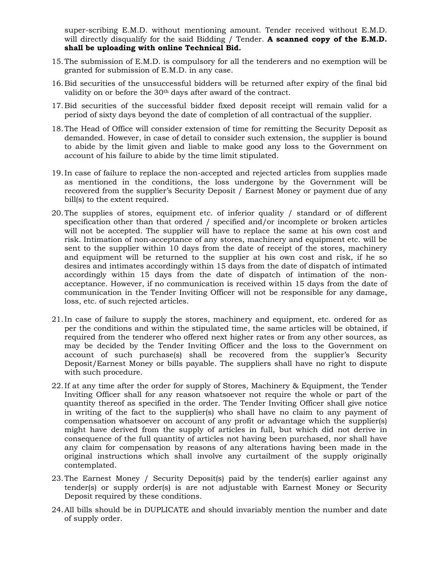super-scribing E.M.D. without mentioning amount. Tender received without E.M.D. will directly disqualify for the said Bidding / Tender. **A scanned copy of the E.M.D. shall be uploading with online Technical Bid.** 

- 15.The submission of E.M.D. is compulsory for all the tenderers and no exemption will be granted for submission of E.M.D. in any case.
- 16.Bid securities of the unsuccessful bidders will be returned after expiry of the final bid validity on or before the 30<sup>th</sup> days after award of the contract.
- 17.Bid securities of the successful bidder fixed deposit receipt will remain valid for a period of sixty days beyond the date of completion of all contractual of the supplier.
- 18.The Head of Office will consider extension of time for remitting the Security Deposit as demanded. However, in case of detail to consider such extension, the supplier is bound to abide by the limit given and liable to make good any loss to the Government on account of his failure to abide by the time limit stipulated.
- 19.In case of failure to replace the non-accepted and rejected articles from supplies made as mentioned in the conditions, the loss undergone by the Government will be recovered from the supplier's Security Deposit / Earnest Money or payment due of any bill(s) to the extent required.
- 20.The supplies of stores, equipment etc. of inferior quality / standard or of different specification other than that ordered / specified and/or incomplete or broken articles will not be accepted. The supplier will have to replace the same at his own cost and risk. Intimation of non-acceptance of any stores, machinery and equipment etc. will be sent to the supplier within 10 days from the date of receipt of the stores, machinery and equipment will be returned to the supplier at his own cost and risk, if he so desires and intimates accordingly within 15 days from the date of dispatch of intimated accordingly within 15 days from the date of dispatch of intimation of the nonacceptance. However, if no communication is received within 15 days from the date of communication in the Tender Inviting Officer will not be responsible for any damage, loss, etc. of such rejected articles.
- 21.In case of failure to supply the stores, machinery and equipment, etc. ordered for as per the conditions and within the stipulated time, the same articles will be obtained, if required from the tenderer who offered next higher rates or from any other sources, as may be decided by the Tender Inviting Officer and the loss to the Government on account of such purchase(s) shall be recovered from the supplier's Security Deposit/Earnest Money or bills payable. The suppliers shall have no right to dispute with such procedure.
- 22.If at any time after the order for supply of Stores, Machinery & Equipment, the Tender Inviting Officer shall for any reason whatsoever not require the whole or part of the quantity thereof as specified in the order. The Tender Inviting Officer shall give notice in writing of the fact to the supplier(s) who shall have no claim to any payment of compensation whatsoever on account of any profit or advantage which the supplier(s) might have derived from the supply of articles in full, but which did not derive in consequence of the full quantity of articles not having been purchased, nor shall have any claim for compensation by reasons of any alterations having been made in the original instructions which shall involve any curtailment of the supply originally contemplated.
- 23.The Earnest Money / Security Deposit(s) paid by the tender(s) earlier against any tender(s) or supply order(s) is are not adjustable with Earnest Money or Security Deposit required by these conditions.
- 24.All bills should be in DUPLICATE and should invariably mention the number and date of supply order.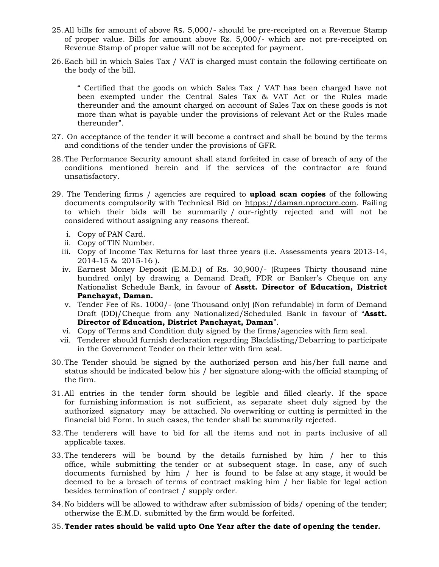- 25.All bills for amount of above Rs. 5,000/- should be pre-receipted on a Revenue Stamp of proper value. Bills for amount above Rs. 5,000/- which are not pre-receipted on Revenue Stamp of proper value will not be accepted for payment.
- 26.Each bill in which Sales Tax / VAT is charged must contain the following certificate on the body of the bill.

" Certified that the goods on which Sales Tax / VAT has been charged have not been exempted under the Central Sales Tax & VAT Act or the Rules made thereunder and the amount charged on account of Sales Tax on these goods is not more than what is payable under the provisions of relevant Act or the Rules made thereunder".

- 27. On acceptance of the tender it will become a contract and shall be bound by the terms and conditions of the tender under the provisions of GFR.
- 28.The Performance Security amount shall stand forfeited in case of breach of any of the conditions mentioned herein and if the services of the contractor are found unsatisfactory.
- 29. The Tendering firms / agencies are required to **upload scan copies** of the following documents compulsorily with Technical Bid on htpps://daman.nprocure.com. Failing to which their bids will be summarily / our-rightly rejected and will not be considered without assigning any reasons thereof.
	- i. Copy of PAN Card.
	- ii. Copy of TIN Number.
	- iii. Copy of Income Tax Returns for last three years (i.e. Assessments years 2013-14, 2014-15 & 2015-16 ).
	- iv. Earnest Money Deposit (E.M.D.) of Rs. 30,900/- (Rupees Thirty thousand nine hundred only) by drawing a Demand Draft, FDR or Banker's Cheque on any Nationalist Schedule Bank, in favour of **Asstt. Director of Education, District Panchayat, Daman.**
	- v. Tender Fee of Rs. 1000/- (one Thousand only) (Non refundable) in form of Demand Draft (DD)/Cheque from any Nationalized/Scheduled Bank in favour of "**Asstt. Director of Education, District Panchayat, Daman**".
	- vi. Copy of Terms and Condition duly signed by the firms/agencies with firm seal.
	- vii. Tenderer should furnish declaration regarding Blacklisting/Debarring to participate in the Government Tender on their letter with firm seal.
- 30.The Tender should be signed by the authorized person and his/her full name and status should be indicated below his / her signature along-with the official stamping of the firm.
- 31.All entries in the tender form should be legible and filled clearly. If the space for furnishing information is not sufficient, as separate sheet duly signed by the authorized signatory may be attached. No overwriting or cutting is permitted in the financial bid Form. In such cases, the tender shall be summarily rejected.
- 32.The tenderers will have to bid for all the items and not in parts inclusive of all applicable taxes.
- 33.The tenderers will be bound by the details furnished by him / her to this office, while submitting the tender or at subsequent stage. In case, any of such documents furnished by him / her is found to be false at any stage, it would be deemed to be a breach of terms of contract making him / her liable for legal action besides termination of contract / supply order.
- 34.No bidders will be allowed to withdraw after submission of bids/ opening of the tender; otherwise the E.M.D. submitted by the firm would be forfeited.

#### 35.**Tender rates should be valid upto One Year after the date of opening the tender.**